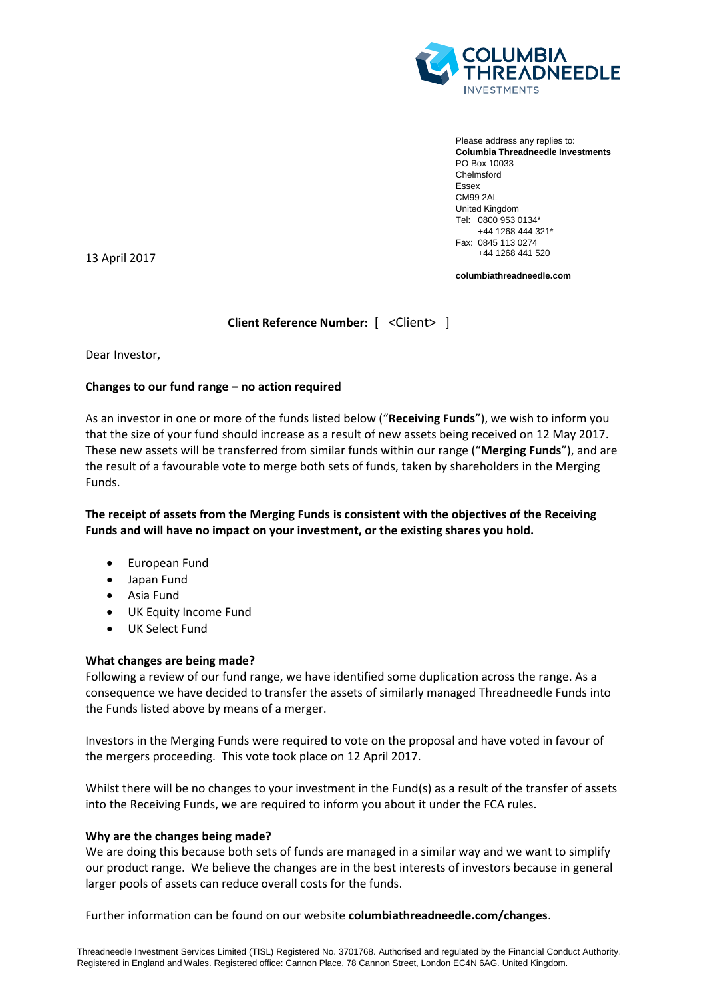

Please address any replies to: **Columbia Threadneedle Investments** PO Box 10033 Chelmsford Essex CM99 2AL United Kingdom Tel: 0800 953 0134\* +44 1268 444 321\* Fax: 0845 113 0274 +44 1268 441 520

**columbiathreadneedle.com**

13 April 2017

# **Client Reference Number:** [ <Client> ]

Dear Investor,

# **Changes to our fund range – no action required**

As an investor in one or more of the funds listed below ("**Receiving Funds**"), we wish to inform you that the size of your fund should increase as a result of new assets being received on 12 May 2017. These new assets will be transferred from similar funds within our range ("**Merging Funds**"), and are the result of a favourable vote to merge both sets of funds, taken by shareholders in the Merging Funds.

**The receipt of assets from the Merging Funds is consistent with the objectives of the Receiving Funds and will have no impact on your investment, or the existing shares you hold.**

- **•** European Fund
- Japan Fund
- Asia Fund
- UK Equity Income Fund
- UK Select Fund

## **What changes are being made?**

Following a review of our fund range, we have identified some duplication across the range. As a consequence we have decided to transfer the assets of similarly managed Threadneedle Funds into the Funds listed above by means of a merger.

Investors in the Merging Funds were required to vote on the proposal and have voted in favour of the mergers proceeding. This vote took place on 12 April 2017.

Whilst there will be no changes to your investment in the Fund(s) as a result of the transfer of assets into the Receiving Funds, we are required to inform you about it under the FCA rules.

## **Why are the changes being made?**

We are doing this because both sets of funds are managed in a similar way and we want to simplify our product range. We believe the changes are in the best interests of investors because in general larger pools of assets can reduce overall costs for the funds.

Further information can be found on our website **columbiathreadneedle.com/changes**.